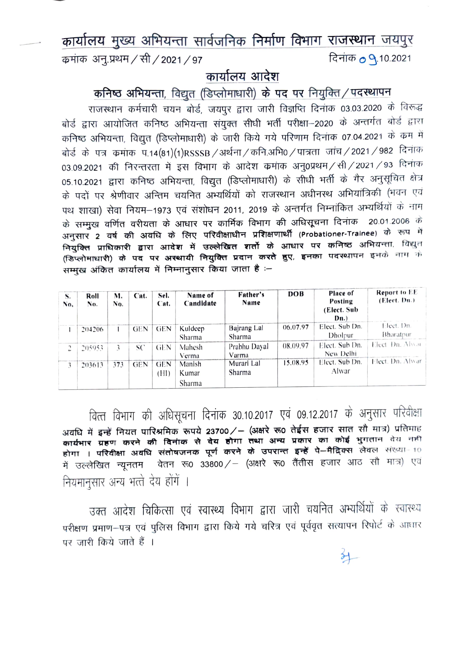## कार्यालय मुख्य अभियन्ता सार्वजनिक निर्माण विभाग राजस्थान जयपुर कमांक अन्.प्रथम / सी / 2021 / 97 दिनांक **0 9**.10.2021

## कार्यालय आदेश

कनिष्ठ अभियन्ता, विद्युत (डिप्लोमाधारी) के पद पर नियुक्ति / पदस्थापन

राजस्थान कर्मचारी चयन बोर्ड, जयपुर द्वारा जारी विज्ञप्ति दिनांक 03.03.2020 के विरूद्ध बोर्ड द्वारा आयोजित कनिष्ठ अभियन्ता संयुक्त सीधी भर्ती परीक्षा–2020 के अन्तर्गत बोर्ड द्वारा कनिष्ठ अभियन्ता, विद्युत (डिप्लोमाधारी) के जारी किये गये परिणाम दिनाक 07.04.2021 के कम में बोर्ड के पत्र कमांक प.14(81)(1)RSSSB / अर्थना / कनि.अभि0 / पात्रता जांच / 2021 / 982 दिनांक 03.09.2021 की निरन्तरता में इस विभाग के आदेश कमांक अनु0प्रथम / सी / 2021 / 93 दिनांक 05.10.2021 द्वारा कनिष्ठ अभियन्ता, विद्युत (डिप्लोमाधारी) के सीधी भर्ती के गैर अनुसूचित क्षेत्र के पदों पर श्रेणीवार अन्तिम चयनित अभ्यर्थियों को राजस्थान अधीनस्थ अभियांत्रिकी (भवन एवं पथ शाखा) सेवा नियम–1973 एवं संशोधन 2011, 2019 के अन्तर्गत निम्नांकित अभ्यर्थियों के नाम के सम्मुख वर्णित वरीयता के आधार पर कार्मिक विभाग की अधिसूचना दिनांक 20.01.2006 के अनुसार 2 वर्ष की अवधि के लिए परिवीक्षाधीन प्रशिक्षणार्थी (Probationer-Trainee) के रूप में -<br>नियुक्ति प्राधिकारी द्वारा आदेश में उल्लेखित शर्तो के आधार पर कनिष्ठ अभियन्ता, विद्युत (डिप्लोमाधारी) के पद पर अरथायी नियुक्ति प्रदान करते हुए, इनका पदरथापन इनके नाम के सम्मख अंकित कार्यालय में निम्नानुसार किया जाता है :-

| S.<br>No. | Roll<br>No. | M.<br>No. | Cat.       | Sel.<br>Cat.       | Name of<br>Candidate      | Father's<br>Name      | DOB      | Place of<br>Posting<br>(Elect. Sub)<br>Dn. | <b>Report to EE</b><br>(Elect. Dn.) |
|-----------|-------------|-----------|------------|--------------------|---------------------------|-----------------------|----------|--------------------------------------------|-------------------------------------|
|           | 204206      |           | <b>GEN</b> | <b>GEN</b>         | Kuldeep<br>Sharma         | Bajrang Lal<br>Sharma | 06.07.97 | Elect. Sub Dn.<br>Dholpur                  | Elect. Dn.<br><b>Bharatpur</b>      |
| C.        | 205953      | ι         | SC         | GEN                | Mahesh<br>Verma           | Prabhu Dayal<br>Varma | 08.09.97 | Elect. Sub Dn.<br>New Delhi                | Elect Dn. Alwar                     |
| 3         | 203613      | 373       | <b>GEN</b> | <b>GEN</b><br>(HI) | Manish<br>Kumar<br>Sharma | Murari Lal<br>Sharma  | 15.08.95 | Elect. Sub Dn.<br>Alwar                    | Elect. Dn. Alwar                    |

वित्त विभाग की अधिसूचना दिनांक 30.10.2017 एवं 09.12.2017 के अनुसार परिवीक्षा अवधि में इन्हें नियत पारिश्रमिक रूपये 23700/ – (अक्षरे रू0 तेईस हजार सात सौ मात्र) प्रतिमाह कार्यभार ग्रहण करने की दिनाक से देय होगा तथा अन्य प्रकार का कोई भुगतान वेय नहीं होगा । परिवीक्षा अवधि संतोषजनक पूर्ण करने के उपरान्त इन्हें पे-मैदिक्स लेवल संख्या-10 में उल्लेखित न्यूनतम वेतन रू0 33800/- (अक्षरे रू0 तैंतीस हजार आठ सौ मात्र) एवं नियमानुसार अन्य भत्ते देय होंगें ।

उक्त आदेश चिकित्सा एवं स्वास्थ्य विभाग द्वारा जारी चयनित अभ्यर्थियों के स्वास्थ्य परीक्षण प्रमाण-पत्र एवं पुलिस विभाग द्वारा किये गये चरित्र एवं पूर्ववृत सत्यापन रिपोर्ट के आधार पर जारी किये जाते हैं ।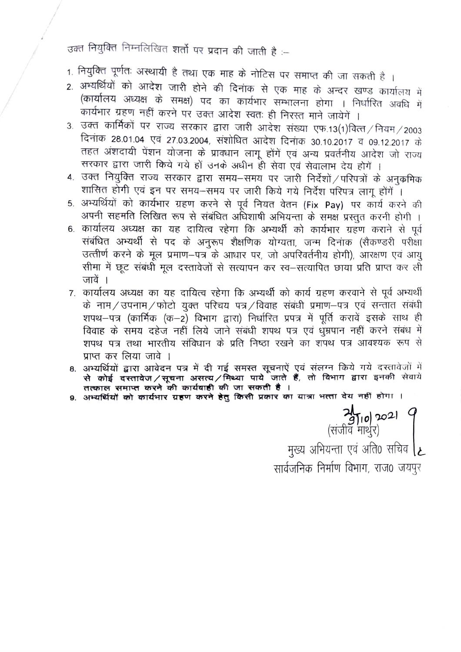उक्त नियुक्ति निम्नलिखित शर्तो पर प्रदान की जाती है :--

- 1. नियुक्ति पूर्णतः अस्थायी है तथा एक माह के नोटिस पर समाप्त की जा सकती है ।
- 2. अभ्यर्थियों को आदेश जारी होने की दिनांक से एक माह के अन्दर खण्ड कार्यालय में (कार्यालय अध्यक्ष के समक्ष) पद का कार्यभार सम्भालना होगा । निर्धारित अवधि में कार्यभार ग्रहण नहीं करने पर उक्त आदेश स्वतः ही निरस्त माने जायेगें ।
- 3. उक्त कार्मिकों पर राज्य सरकार द्वारा जारी आदेश संख्या एफ.13(1)वित्त/नियम/2003 दिनांक 28.01.04 एवं 27.03.2004, संशोधित आदेश दिनांक 30.10.2017 व 09.12.2017 के तहत अंशदायी पेंशन योजना के प्राक्धान लागू होंगें एवं अन्य प्रवर्तनीय आदेश जो राज्य सरकार द्वारा जारी किये गये हों उनके अधीन ही सेवा एवं सेवालाभ देय होगें ।
- 4. उक्त नियुक्ति राज्य सरकार द्वारा समय-समय पर जारी निर्देशों / परिपत्रों के अनुक्रमिक शासित होगी एवं इन पर समय-समय पर जारी किये गये निर्देश परिपत्र लागू होंगें ।
- 5. अभ्यर्थियों को कार्यभार ग्रहण करने से पूर्व नियत वेतन (Fix Pay) पर कार्य करने की अपनी सहमति लिखित रूप से संबंधित अधिशाषी अभियन्ता के समक्ष प्रस्तुत करनी होगी ।
- 6. कार्यालय अध्यक्ष का यह दायित्व रहेगा कि अभ्यर्थी को कार्यभार ग्रहण कराने से पूर्व संबंधित अभ्यर्थी से पद के अनुरूप शैक्षणिक योग्यता, जन्म दिनांक (सैकण्डरी परीक्षा उत्त्तीर्ण करने के मूल प्रमाण-पत्र के आधार पर, जो अपरिवर्तनीय होगी), आरक्षण एवं आयु सीमा में छूट संबंधी मूल दस्तावेजों से सत्यापन कर स्व–सत्यापित छाया प्रति प्राप्त कर ली जावें ।
- 7. कार्यालय अध्यक्ष का यह दायित्व रहेगा कि अभ्यर्थी को कार्य ग्रहण करवाने से पूर्व अभ्यर्थी के नाम/उपनाम/फोटो युक्त परिचय पत्र/विवाह संबंधी प्रमाण-पत्र एवं सन्तात संबंधी शपथ–पत्र (कार्मिक (क–2) विभाग द्वारा) निर्धारित प्रपत्र में पूर्ति करावें इसके साथ ही विवाह के समय दहेज नहीं लिये जाने संबंधी शपथ पत्र एवं धुम्रपान नहीं करने संबंध में शपथ पत्र तथा भारतीय संविधान के प्रति निष्ठा रखने का शपथ पत्र आवश्यक रूप से प्राप्त कर लिया जावे ।
- 8. अभ्यर्थियों द्वारा आवेदन पत्र में दी गई समस्त सूचनाऐं एवं संलग्न किये गये दस्तावेजों में से कोई दरतावेज / सूचना असत्य / मिथ्या पाये जाते हैं, तो विभाग द्वारा इनकी सेवाये<br>तत्काल समाप्त करने की कार्यवाही की जा सकती है।
- 9. अभ्यर्थियों को कार्यभार ग्रहण करने हेतु किसी प्रकार का यात्रा भत्ता देय नहीं होगा ।

2010) 2021<br>(संजीव माथुर) मुख्य अभियन्ता एवं अति0 सचिव [2] सार्वजनिक निर्माण विभाग, राज0 जयपुर